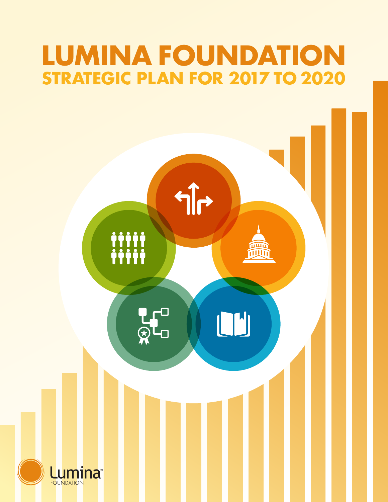# **LUMINA FOUNDATION STRATEGIC PLAN FOR 2017 TO 2020**

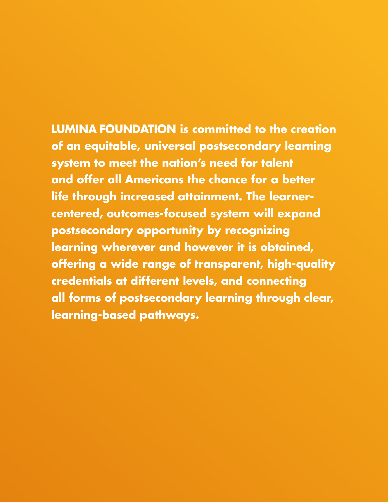**LUMINA FOUNDATION is committed to the creation of an equitable, universal postsecondary learning system to meet the nation's need for talent and offer all Americans the chance for a better life through increased attainment. The learnercentered, outcomes-focused system will expand postsecondary opportunity by recognizing learning wherever and however it is obtained, offering a wide range of transparent, high-quality credentials at different levels, and connecting all forms of postsecondary learning through clear, learning-based pathways.**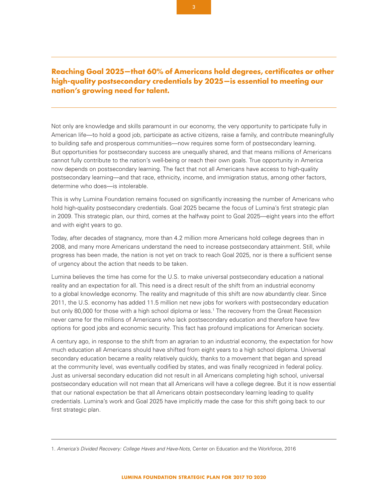# **Reaching Goal 2025—that 60% of Americans hold degrees, certificates or other high-quality postsecondary credentials by 2025—is essential to meeting our nation's growing need for talent.**

Not only are knowledge and skills paramount in our economy, the very opportunity to participate fully in American life—to hold a good job, participate as active citizens, raise a family, and contribute meaningfully to building safe and prosperous communities—now requires some form of postsecondary learning. But opportunities for postsecondary success are unequally shared, and that means millions of Americans cannot fully contribute to the nation's well-being or reach their own goals. True opportunity in America now depends on postsecondary learning. The fact that not all Americans have access to high-quality postsecondary learning—and that race, ethnicity, income, and immigration status, among other factors, determine who does—is intolerable.

This is why Lumina Foundation remains focused on significantly increasing the number of Americans who hold high-quality postsecondary credentials. Goal 2025 became the focus of Lumina's first strategic plan in 2009. This strategic plan, our third, comes at the halfway point to Goal 2025—eight years into the effort and with eight years to go.

Today, after decades of stagnancy, more than 4.2 million more Americans hold college degrees than in 2008, and many more Americans understand the need to increase postsecondary attainment. Still, while progress has been made, the nation is not yet on track to reach Goal 2025, nor is there a sufficient sense of urgency about the action that needs to be taken.

Lumina believes the time has come for the U.S. to make universal postsecondary education a national reality and an expectation for all. This need is a direct result of the shift from an industrial economy to a global knowledge economy. The reality and magnitude of this shift are now abundantly clear. Since 2011, the U.S. economy has added 11.5 million net new jobs for workers with postsecondary education but only 80,000 for those with a high school diploma or less.<sup>1</sup> The recovery from the Great Recession never came for the millions of Americans who lack postsecondary education and therefore have few options for good jobs and economic security. This fact has profound implications for American society.

A century ago, in response to the shift from an agrarian to an industrial economy, the expectation for how much education all Americans should have shifted from eight years to a high school diploma. Universal secondary education became a reality relatively quickly, thanks to a movement that began and spread at the community level, was eventually codified by states, and was finally recognized in federal policy. Just as universal secondary education did not result in all Americans completing high school, universal postsecondary education will not mean that all Americans will have a college degree. But it is now essential that our national expectation be that all Americans obtain postsecondary learning leading to quality credentials. Lumina's work and Goal 2025 have implicitly made the case for this shift going back to our first strategic plan.

<sup>1.</sup> *America's Divided Recovery: College Haves and Have-Nots*, Center on Education and the Workforce, 2016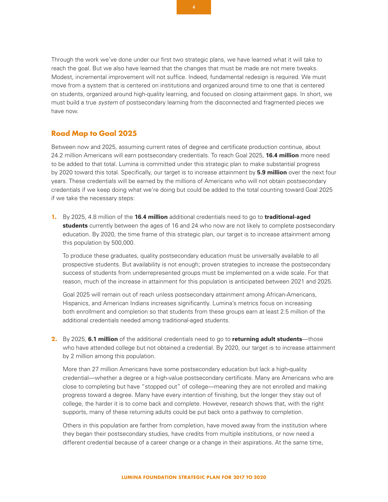Through the work we've done under our first two strategic plans, we have learned what it will take to reach the goal. But we also have learned that the changes that must be made are not mere tweaks. Modest, incremental improvement will not suffice. Indeed, fundamental redesign is required. We must move from a system that is centered on institutions and organized around time to one that is centered on students, organized around high-quality learning, and focused on closing attainment gaps. In short, we must build a true *system* of postsecondary learning from the disconnected and fragmented pieces we have now.

### **Road Map to Goal 2025**

Between now and 2025, assuming current rates of degree and certificate production continue, about 24.2 million Americans will earn postsecondary credentials. To reach Goal 2025, **16.4 million** more need to be added to that total. Lumina is committed under this strategic plan to make substantial progress by 2020 toward this total. Specifically, our target is to increase attainment by **5.9 million** over the next four years. These credentials will be earned by the millions of Americans who will not obtain postsecondary credentials if we keep doing what we're doing but could be added to the total counting toward Goal 2025 if we take the necessary steps:

**1.** By 2025, 4.8 million of the **16.4 million** additional credentials need to go to **traditional-aged students** currently between the ages of 16 and 24 who now are not likely to complete postsecondary education. By 2020, the time frame of this strategic plan, our target is to increase attainment among this population by 500,000.

To produce these graduates, quality postsecondary education must be universally available to all prospective students. But availability is not enough; proven strategies to increase the postsecondary success of students from underrepresented groups must be implemented on a wide scale. For that reason, much of the increase in attainment for this population is anticipated between 2021 and 2025.

Goal 2025 will remain out of reach unless postsecondary attainment among African-Americans, Hispanics, and American Indians increases significantly. Lumina's metrics focus on increasing both enrollment and completion so that students from these groups earn at least 2.5 million of the additional credentials needed among traditional-aged students.

**2.** By 2025, **6.1 million** of the additional credentials need to go to **returning adult students**—those who have attended college but not obtained a credential. By 2020, our target is to increase attainment by 2 million among this population.

More than 27 million Americans have some postsecondary education but lack a high-quality credential—whether a degree or a high-value postsecondary certificate. Many are Americans who are close to completing but have "stopped out" of college—meaning they are not enrolled and making progress toward a degree. Many have every intention of finishing, but the longer they stay out of college, the harder it is to come back and complete. However, research shows that, with the right supports, many of these returning adults could be put back onto a pathway to completion.

Others in this population are farther from completion, have moved away from the institution where they began their postsecondary studies, have credits from multiple institutions, or now need a different credential because of a career change or a change in their aspirations. At the same time,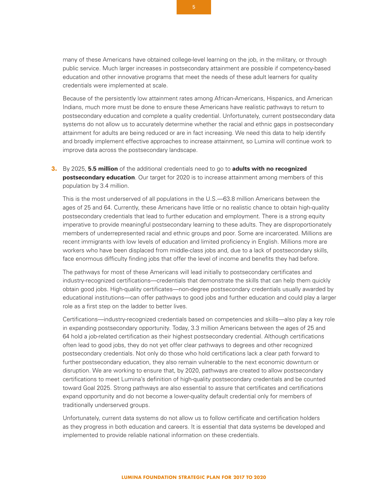many of these Americans have obtained college-level learning on the job, in the military, or through public service. Much larger increases in postsecondary attainment are possible if competency-based education and other innovative programs that meet the needs of these adult learners for quality credentials were implemented at scale.

Because of the persistently low attainment rates among African-Americans, Hispanics, and American Indians, much more must be done to ensure these Americans have realistic pathways to return to postsecondary education and complete a quality credential. Unfortunately, current postsecondary data systems do not allow us to accurately determine whether the racial and ethnic gaps in postsecondary attainment for adults are being reduced or are in fact increasing. We need this data to help identify and broadly implement effective approaches to increase attainment, so Lumina will continue work to improve data across the postsecondary landscape.

**3.** By 2025, **5.5 million** of the additional credentials need to go to **adults with no recognized postsecondary education**. Our target for 2020 is to increase attainment among members of this population by 3.4 million.

This is the most underserved of all populations in the U.S.—63.8 million Americans between the ages of 25 and 64. Currently, these Americans have little or no realistic chance to obtain high-quality postsecondary credentials that lead to further education and employment. There is a strong equity imperative to provide meaningful postsecondary learning to these adults. They are disproportionately members of underrepresented racial and ethnic groups and poor. Some are incarcerated. Millions are recent immigrants with low levels of education and limited proficiency in English. Millions more are workers who have been displaced from middle-class jobs and, due to a lack of postsecondary skills, face enormous difficulty finding jobs that offer the level of income and benefits they had before.

The pathways for most of these Americans will lead initially to postsecondary certificates and industry-recognized certifications—credentials that demonstrate the skills that can help them quickly obtain good jobs. High-quality certificates—non-degree postsecondary credentials usually awarded by educational institutions—can offer pathways to good jobs and further education and could play a larger role as a first step on the ladder to better lives.

Certifications—industry-recognized credentials based on competencies and skills—also play a key role in expanding postsecondary opportunity. Today, 3.3 million Americans between the ages of 25 and 64 hold a job-related certification as their highest postsecondary credential. Although certifications often lead to good jobs, they do not yet offer clear pathways to degrees and other recognized postsecondary credentials. Not only do those who hold certifications lack a clear path forward to further postsecondary education, they also remain vulnerable to the next economic downturn or disruption. We are working to ensure that, by 2020, pathways are created to allow postsecondary certifications to meet Lumina's definition of high-quality postsecondary credentials and be counted toward Goal 2025. Strong pathways are also essential to assure that certificates and certifications expand opportunity and do not become a lower-quality default credential only for members of traditionally underserved groups.

Unfortunately, current data systems do not allow us to follow certificate and certification holders as they progress in both education and careers. It is essential that data systems be developed and implemented to provide reliable national information on these credentials.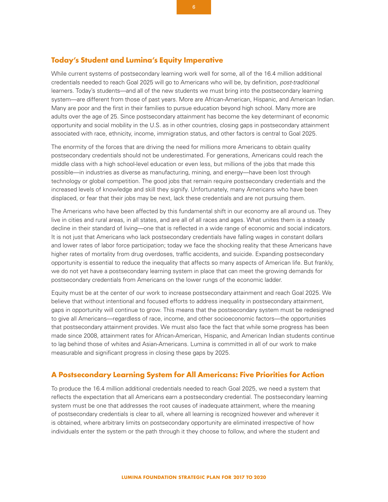# **Today's Student and Lumina's Equity Imperative**

While current systems of postsecondary learning work well for some, all of the 16.4 million additional credentials needed to reach Goal 2025 will go to Americans who will be, by definition, *post-traditional* learners. Today's students—and all of the new students we must bring into the postsecondary learning system—are different from those of past years. More are African-American, Hispanic, and American Indian. Many are poor and the first in their families to pursue education beyond high school. Many more are adults over the age of 25. Since postsecondary attainment has become the key determinant of economic opportunity and social mobility in the U.S. as in other countries, closing gaps in postsecondary attainment associated with race, ethnicity, income, immigration status, and other factors is central to Goal 2025.

The enormity of the forces that are driving the need for millions more Americans to obtain quality postsecondary credentials should not be underestimated. For generations, Americans could reach the middle class with a high school-level education or even less, but millions of the jobs that made this possible—in industries as diverse as manufacturing, mining, and energy—have been lost through technology or global competition. The good jobs that remain require postsecondary credentials and the increased levels of knowledge and skill they signify. Unfortunately, many Americans who have been displaced, or fear that their jobs may be next, lack these credentials and are not pursuing them.

The Americans who have been affected by this fundamental shift in our economy are all around us. They live in cities and rural areas, in all states, and are all of all races and ages. What unites them is a steady decline in their standard of living—one that is reflected in a wide range of economic and social indicators. It is not just that Americans who lack postsecondary credentials have falling wages in constant dollars and lower rates of labor force participation; today we face the shocking reality that these Americans have higher rates of mortality from drug overdoses, traffic accidents, and suicide. Expanding postsecondary opportunity is essential to reduce the inequality that affects so many aspects of American life. But frankly, we do not yet have a postsecondary learning system in place that can meet the growing demands for postsecondary credentials from Americans on the lower rungs of the economic ladder.

Equity must be at the center of our work to increase postsecondary attainment and reach Goal 2025. We believe that without intentional and focused efforts to address inequality in postsecondary attainment, gaps in opportunity will continue to grow. This means that the postsecondary system must be redesigned to give all Americans—regardless of race, income, and other socioeconomic factors—the opportunities that postsecondary attainment provides. We must also face the fact that while some progress has been made since 2008, attainment rates for African-American, Hispanic, and American Indian students continue to lag behind those of whites and Asian-Americans. Lumina is committed in all of our work to make measurable and significant progress in closing these gaps by 2025.

# **A Postsecondary Learning System for All Americans: Five Priorities for Action**

To produce the 16.4 million additional credentials needed to reach Goal 2025, we need a system that reflects the expectation that all Americans earn a postsecondary credential. The postsecondary learning system must be one that addresses the root causes of inadequate attainment, where the meaning of postsecondary credentials is clear to all, where all learning is recognized however and wherever it is obtained, where arbitrary limits on postsecondary opportunity are eliminated irrespective of how individuals enter the system or the path through it they choose to follow, and where the student and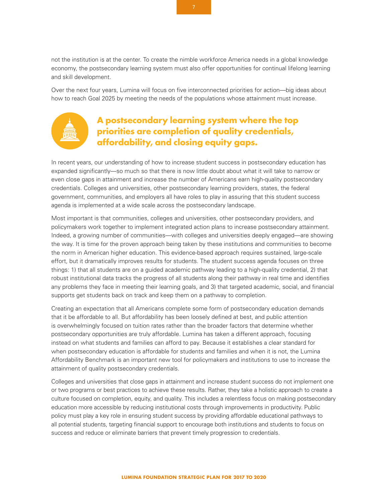not the institution is at the center. To create the nimble workforce America needs in a global knowledge economy, the postsecondary learning system must also offer opportunities for continual lifelong learning and skill development.

Over the next four years, Lumina will focus on five interconnected priorities for action—big ideas about how to reach Goal 2025 by meeting the needs of the populations whose attainment must increase.

# **A postsecondary learning system where the top priorities are completion of quality credentials, affordability, and closing equity gaps.**

In recent years, our understanding of how to increase student success in postsecondary education has expanded significantly—so much so that there is now little doubt about what it will take to narrow or even close gaps in attainment and increase the number of Americans earn high-quality postsecondary credentials. Colleges and universities, other postsecondary learning providers, states, the federal government, communities, and employers all have roles to play in assuring that this student success agenda is implemented at a wide scale across the postsecondary landscape.

Most important is that communities, colleges and universities, other postsecondary providers, and policymakers work together to implement integrated action plans to increase postsecondary attainment. Indeed, a growing number of communities—with colleges and universities deeply engaged—are showing the way. It is time for the proven approach being taken by these institutions and communities to become the norm in American higher education. This evidence-based approach requires sustained, large-scale effort, but it dramatically improves results for students. The student success agenda focuses on three things: 1) that all students are on a guided academic pathway leading to a high-quality credential, 2) that robust institutional data tracks the progress of all students along their pathway in real time and identifies any problems they face in meeting their learning goals, and 3) that targeted academic, social, and financial supports get students back on track and keep them on a pathway to completion.

Creating an expectation that all Americans complete some form of postsecondary education demands that it be affordable to all. But affordability has been loosely defined at best, and public attention is overwhelmingly focused on tuition rates rather than the broader factors that determine whether postsecondary opportunities are truly affordable. Lumina has taken a different approach, focusing instead on what students and families can afford to pay. Because it establishes a clear standard for when postsecondary education is affordable for students and families and when it is not, the Lumina Affordability Benchmark is an important new tool for policymakers and institutions to use to increase the attainment of quality postsecondary credentials.

Colleges and universities that close gaps in attainment and increase student success do not implement one or two programs or best practices to achieve these results. Rather, they take a holistic approach to create a culture focused on completion, equity, and quality. This includes a relentless focus on making postsecondary education more accessible by reducing institutional costs through improvements in productivity. Public policy must play a key role in ensuring student success by providing affordable educational pathways to all potential students, targeting financial support to encourage both institutions and students to focus on success and reduce or eliminate barriers that prevent timely progression to credentials.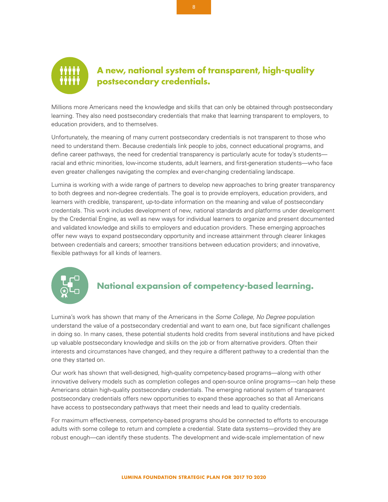

# **A new, national system of transparent, high-quality postsecondary credentials.**

Millions more Americans need the knowledge and skills that can only be obtained through postsecondary learning. They also need postsecondary credentials that make that learning transparent to employers, to education providers, and to themselves.

Unfortunately, the meaning of many current postsecondary credentials is not transparent to those who need to understand them. Because credentials link people to jobs, connect educational programs, and define career pathways, the need for credential transparency is particularly acute for today's students racial and ethnic minorities, low-income students, adult learners, and first-generation students—who face even greater challenges navigating the complex and ever-changing credentialing landscape.

Lumina is working with a wide range of partners to develop new approaches to bring greater transparency to both degrees and non-degree credentials. The goal is to provide employers, education providers, and learners with credible, transparent, up-to-date information on the meaning and value of postsecondary credentials. This work includes development of new, national standards and platforms under development by the Credential Engine, as well as new ways for individual learners to organize and present documented and validated knowledge and skills to employers and education providers. These emerging approaches offer new ways to expand postsecondary opportunity and increase attainment through clearer linkages between credentials and careers; smoother transitions between education providers; and innovative, flexible pathways for all kinds of learners.



# **National expansion of competency-based learning.**

Lumina's work has shown that many of the Americans in the *Some College, No Degree* population understand the value of a postsecondary credential and want to earn one, but face significant challenges in doing so. In many cases, these potential students hold credits from several institutions and have picked up valuable postsecondary knowledge and skills on the job or from alternative providers. Often their interests and circumstances have changed, and they require a different pathway to a credential than the one they started on.

Our work has shown that well-designed, high-quality competency-based programs—along with other innovative delivery models such as completion colleges and open-source online programs—can help these Americans obtain high-quality postsecondary credentials. The emerging national system of transparent postsecondary credentials offers new opportunities to expand these approaches so that all Americans have access to postsecondary pathways that meet their needs and lead to quality credentials.

For maximum effectiveness, competency-based programs should be connected to efforts to encourage adults with some college to return and complete a credential. State data systems—provided they are robust enough—can identify these students. The development and wide-scale implementation of new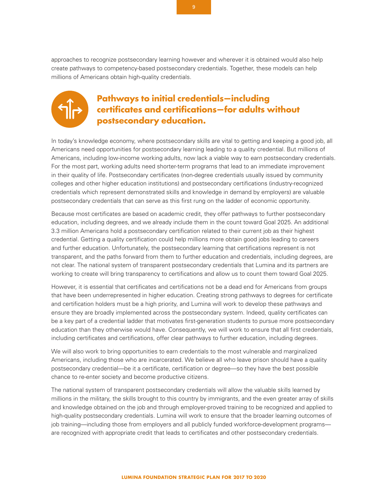approaches to recognize postsecondary learning however and wherever it is obtained would also help create pathways to competency-based postsecondary credentials. Together, these models can help millions of Americans obtain high-quality credentials.



# **Pathways to initial credentials—including certificates and certifications—for adults without postsecondary education.**

In today's knowledge economy, where postsecondary skills are vital to getting and keeping a good job, all Americans need opportunities for postsecondary learning leading to a quality credential. But millions of Americans, including low-income working adults, now lack a viable way to earn postsecondary credentials. For the most part, working adults need shorter-term programs that lead to an immediate improvement in their quality of life. Postsecondary certificates (non-degree credentials usually issued by community colleges and other higher education institutions) and postsecondary certifications (industry-recognized credentials which represent demonstrated skills and knowledge in demand by employers) are valuable postsecondary credentials that can serve as this first rung on the ladder of economic opportunity.

Because most certificates are based on academic credit, they offer pathways to further postsecondary education, including degrees, and we already include them in the count toward Goal 2025. An additional 3.3 million Americans hold a postsecondary certification related to their current job as their highest credential. Getting a quality certification could help millions more obtain good jobs leading to careers and further education. Unfortunately, the postsecondary learning that certifications represent is not transparent, and the paths forward from them to further education and credentials, including degrees, are not clear. The national system of transparent postsecondary credentials that Lumina and its partners are working to create will bring transparency to certifications and allow us to count them toward Goal 2025.

However, it is essential that certificates and certifications not be a dead end for Americans from groups that have been underrepresented in higher education. Creating strong pathways to degrees for certificate and certification holders must be a high priority, and Lumina will work to develop these pathways and ensure they are broadly implemented across the postsecondary system. Indeed, quality certificates can be a key part of a credential ladder that motivates first-generation students to pursue more postsecondary education than they otherwise would have. Consequently, we will work to ensure that all first credentials, including certificates and certifications, offer clear pathways to further education, including degrees.

We will also work to bring opportunities to earn credentials to the most vulnerable and marginalized Americans, including those who are incarcerated. We believe all who leave prison should have a quality postsecondary credential—be it a certificate, certification or degree—so they have the best possible chance to re-enter society and become productive citizens.

The national system of transparent postsecondary credentials will allow the valuable skills learned by millions in the military, the skills brought to this country by immigrants, and the even greater array of skills and knowledge obtained on the job and through employer-proved training to be recognized and applied to high-quality postsecondary credentials. Lumina will work to ensure that the broader learning outcomes of job training—including those from employers and all publicly funded workforce-development programs are recognized with appropriate credit that leads to certificates and other postsecondary credentials.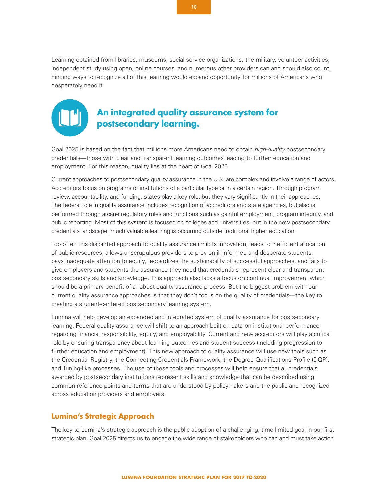Learning obtained from libraries, museums, social service organizations, the military, volunteer activities, independent study using open, online courses, and numerous other providers can and should also count. Finding ways to recognize all of this learning would expand opportunity for millions of Americans who desperately need it.



# **An integrated quality assurance system for postsecondary learning.**

Goal 2025 is based on the fact that millions more Americans need to obtain *high-quality* postsecondary credentials—those with clear and transparent learning outcomes leading to further education and employment. For this reason, quality lies at the heart of Goal 2025.

Current approaches to postsecondary quality assurance in the U.S. are complex and involve a range of actors. Accreditors focus on programs or institutions of a particular type or in a certain region. Through program review, accountability, and funding, states play a key role; but they vary significantly in their approaches. The federal role in quality assurance includes recognition of accreditors and state agencies, but also is performed through arcane regulatory rules and functions such as gainful employment, program integrity, and public reporting. Most of this system is focused on colleges and universities, but in the new postsecondary credentials landscape, much valuable learning is occurring outside traditional higher education.

Too often this disjointed approach to quality assurance inhibits innovation, leads to inefficient allocation of public resources, allows unscrupulous providers to prey on ill-informed and desperate students, pays inadequate attention to equity, jeopardizes the sustainability of successful approaches, and fails to give employers and students the assurance they need that credentials represent clear and transparent postsecondary skills and knowledge. This approach also lacks a focus on continual improvement which should be a primary benefit of a robust quality assurance process. But the biggest problem with our current quality assurance approaches is that they don't focus on the quality of credentials—the key to creating a student-centered postsecondary learning system.

Lumina will help develop an expanded and integrated system of quality assurance for postsecondary learning. Federal quality assurance will shift to an approach built on data on institutional performance regarding financial responsibility, equity, and employability. Current and new accreditors will play a critical role by ensuring transparency about learning outcomes and student success (including progression to further education and employment). This new approach to quality assurance will use new tools such as the Credential Registry, the Connecting Credentials Framework, the Degree Qualifications Profile (DQP), and Tuning-like processes. The use of these tools and processes will help ensure that all credentials awarded by postsecondary institutions represent skills and knowledge that can be described using common reference points and terms that are understood by policymakers and the public and recognized across education providers and employers.

## **Lumina's Strategic Approach**

The key to Lumina's strategic approach is the public adoption of a challenging, time-limited goal in our first strategic plan. Goal 2025 directs us to engage the wide range of stakeholders who can and must take action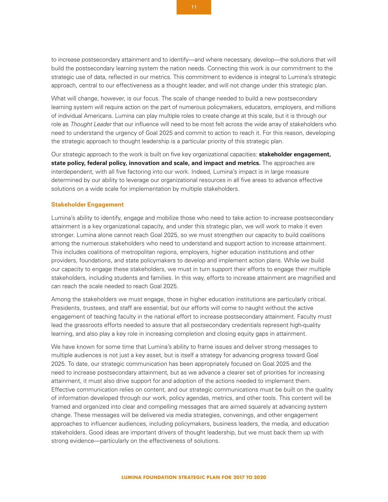to increase postsecondary attainment and to identify—and where necessary, develop—the solutions that will build the postsecondary learning system the nation needs. Connecting this work is our commitment to the strategic use of data, reflected in our metrics. This commitment to evidence is integral to Lumina's strategic approach, central to our effectiveness as a thought leader, and will not change under this strategic plan.

What will change, however, is our focus. The scale of change needed to build a new postsecondary learning system will require action on the part of numerous policymakers, educators, employers, and millions of individual Americans. Lumina can play multiple roles to create change at this scale, but it is through our role as *Thought Leader* that our influence will need to be most felt across the wide array of stakeholders who need to understand the urgency of Goal 2025 and commit to action to reach it. For this reason, developing the strategic approach to thought leadership is a particular priority of this strategic plan.

Our strategic approach to the work is built on five key organizational capacities: **stakeholder engagement, state policy, federal policy, innovation and scale, and impact and metrics.** The approaches are interdependent, with all five factoring into our work. Indeed, Lumina's impact is in large measure determined by our ability to leverage our organizational resources in all five areas to advance effective solutions on a wide scale for implementation by multiple stakeholders.

#### **Stakeholder Engagement**

Lumina's ability to identify, engage and mobilize those who need to take action to increase postsecondary attainment is a key organizational capacity, and under this strategic plan, we will work to make it even stronger. Lumina alone cannot reach Goal 2025, so we must strengthen our capacity to build coalitions among the numerous stakeholders who need to understand and support action to increase attainment. This includes coalitions of metropolitan regions, employers, higher education institutions and other providers, foundations, and state policymakers to develop and implement action plans. While we build our capacity to engage these stakeholders, we must in turn support their efforts to engage their multiple stakeholders, including students and families. In this way, efforts to increase attainment are magnified and can reach the scale needed to reach Goal 2025.

Among the stakeholders we must engage, those in higher education institutions are particularly critical. Presidents, trustees, and staff are essential, but our efforts will come to naught without the active engagement of teaching faculty in the national effort to increase postsecondary attainment. Faculty must lead the grassroots efforts needed to assure that all postsecondary credentials represent high-quality learning, and also play a key role in increasing completion and closing equity gaps in attainment.

We have known for some time that Lumina's ability to frame issues and deliver strong messages to multiple audiences is not just a key asset, but is itself a strategy for advancing progress toward Goal 2025. To date, our strategic communication has been appropriately focused on Goal 2025 and the need to increase postsecondary attainment, but as we advance a clearer set of priorities for increasing attainment, it must also drive support for and adoption of the actions needed to implement them. Effective communication relies on content, and our strategic communications must be built on the quality of information developed through our work, policy agendas, metrics, and other tools. This content will be framed and organized into clear and compelling messages that are aimed squarely at advancing system change. These messages will be delivered via media strategies, convenings, and other engagement approaches to influencer audiences, including policymakers, business leaders, the media, and education stakeholders. Good ideas are important drivers of thought leadership, but we must back them up with strong evidence—particularly on the effectiveness of solutions.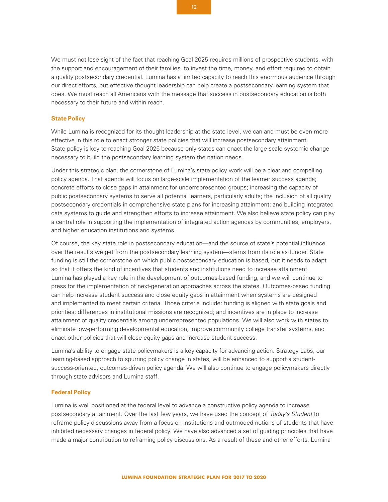We must not lose sight of the fact that reaching Goal 2025 requires millions of prospective students, with the support and encouragement of their families, to invest the time, money, and effort required to obtain a quality postsecondary credential. Lumina has a limited capacity to reach this enormous audience through our direct efforts, but effective thought leadership can help create a postsecondary learning system that does. We must reach all Americans with the message that success in postsecondary education is both necessary to their future and within reach.

#### **State Policy**

While Lumina is recognized for its thought leadership at the state level, we can and must be even more effective in this role to enact stronger state policies that will increase postsecondary attainment. State policy is key to reaching Goal 2025 because only states can enact the large-scale systemic change necessary to build the postsecondary learning system the nation needs.

Under this strategic plan, the cornerstone of Lumina's state policy work will be a clear and compelling policy agenda. That agenda will focus on large-scale implementation of the learner success agenda; concrete efforts to close gaps in attainment for underrepresented groups; increasing the capacity of public postsecondary systems to serve all potential learners, particularly adults; the inclusion of all quality postsecondary credentials in comprehensive state plans for increasing attainment; and building integrated data systems to guide and strengthen efforts to increase attainment. We also believe state policy can play a central role in supporting the implementation of integrated action agendas by communities, employers, and higher education institutions and systems.

Of course, the key state role in postsecondary education—and the source of state's potential influence over the results we get from the postsecondary learning system—stems from its role as funder. State funding is still the cornerstone on which public postsecondary education is based, but it needs to adapt so that it offers the kind of incentives that students and institutions need to increase attainment. Lumina has played a key role in the development of outcomes-based funding, and we will continue to press for the implementation of next-generation approaches across the states. Outcomes-based funding can help increase student success and close equity gaps in attainment when systems are designed and implemented to meet certain criteria. Those criteria include: funding is aligned with state goals and priorities; differences in institutional missions are recognized; and incentives are in place to increase attainment of quality credentials among underrepresented populations. We will also work with states to eliminate low-performing developmental education, improve community college transfer systems, and enact other policies that will close equity gaps and increase student success.

Lumina's ability to engage state policymakers is a key capacity for advancing action. Strategy Labs, our learning-based approach to spurring policy change in states, will be enhanced to support a studentsuccess-oriented, outcomes-driven policy agenda. We will also continue to engage policymakers directly through state advisors and Lumina staff.

#### **Federal Policy**

Lumina is well positioned at the federal level to advance a constructive policy agenda to increase postsecondary attainment. Over the last few years, we have used the concept of *Today's Student* to reframe policy discussions away from a focus on institutions and outmoded notions of students that have inhibited necessary changes in federal policy. We have also advanced a set of guiding principles that have made a major contribution to reframing policy discussions. As a result of these and other efforts, Lumina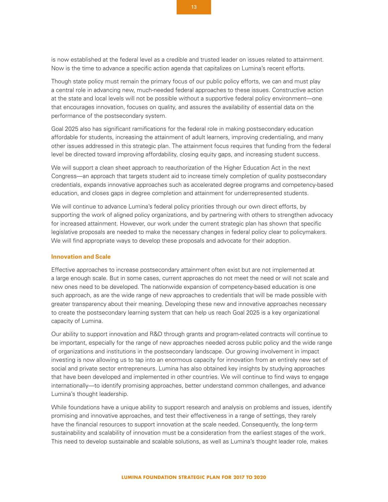is now established at the federal level as a credible and trusted leader on issues related to attainment. Now is the time to advance a specific action agenda that capitalizes on Lumina's recent efforts.

Though state policy must remain the primary focus of our public policy efforts, we can and must play a central role in advancing new, much-needed federal approaches to these issues. Constructive action at the state and local levels will not be possible without a supportive federal policy environment—one that encourages innovation, focuses on quality, and assures the availability of essential data on the performance of the postsecondary system.

Goal 2025 also has significant ramifications for the federal role in making postsecondary education affordable for students, increasing the attainment of adult learners, improving credentialing, and many other issues addressed in this strategic plan. The attainment focus requires that funding from the federal level be directed toward improving affordability, closing equity gaps, and increasing student success.

We will support a clean sheet approach to reauthorization of the Higher Education Act in the next Congress—an approach that targets student aid to increase timely completion of quality postsecondary credentials, expands innovative approaches such as accelerated degree programs and competency-based education, and closes gaps in degree completion and attainment for underrepresented students.

We will continue to advance Lumina's federal policy priorities through our own direct efforts, by supporting the work of aligned policy organizations, and by partnering with others to strengthen advocacy for increased attainment. However, our work under the current strategic plan has shown that specific legislative proposals are needed to make the necessary changes in federal policy clear to policymakers. We will find appropriate ways to develop these proposals and advocate for their adoption.

#### **Innovation and Scale**

Effective approaches to increase postsecondary attainment often exist but are not implemented at a large enough scale. But in some cases, current approaches do not meet the need or will not scale and new ones need to be developed. The nationwide expansion of competency-based education is one such approach, as are the wide range of new approaches to credentials that will be made possible with greater transparency about their meaning. Developing these new and innovative approaches necessary to create the postsecondary learning system that can help us reach Goal 2025 is a key organizational capacity of Lumina.

Our ability to support innovation and R&D through grants and program-related contracts will continue to be important, especially for the range of new approaches needed across public policy and the wide range of organizations and institutions in the postsecondary landscape. Our growing involvement in impact investing is now allowing us to tap into an enormous capacity for innovation from an entirely new set of social and private sector entrepreneurs. Lumina has also obtained key insights by studying approaches that have been developed and implemented in other countries. We will continue to find ways to engage internationally—to identify promising approaches, better understand common challenges, and advance Lumina's thought leadership.

While foundations have a unique ability to support research and analysis on problems and issues, identify promising and innovative approaches, and test their effectiveness in a range of settings, they rarely have the financial resources to support innovation at the scale needed. Consequently, the long-term sustainability and scalability of innovation must be a consideration from the earliest stages of the work. This need to develop sustainable and scalable solutions, as well as Lumina's thought leader role, makes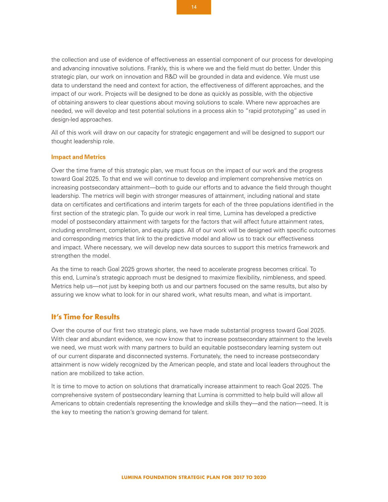the collection and use of evidence of effectiveness an essential component of our process for developing and advancing innovative solutions. Frankly, this is where we and the field must do better. Under this strategic plan, our work on innovation and R&D will be grounded in data and evidence. We must use data to understand the need and context for action, the effectiveness of different approaches, and the impact of our work. Projects will be designed to be done as quickly as possible, with the objective of obtaining answers to clear questions about moving solutions to scale. Where new approaches are needed, we will develop and test potential solutions in a process akin to "rapid prototyping" as used in design-led approaches.

All of this work will draw on our capacity for strategic engagement and will be designed to support our thought leadership role.

#### **Impact and Metrics**

Over the time frame of this strategic plan, we must focus on the impact of our work and the progress toward Goal 2025. To that end we will continue to develop and implement comprehensive metrics on increasing postsecondary attainment—both to guide our efforts and to advance the field through thought leadership. The metrics will begin with stronger measures of attainment, including national and state data on certificates and certifications and interim targets for each of the three populations identified in the first section of the strategic plan. To guide our work in real time, Lumina has developed a predictive model of postsecondary attainment with targets for the factors that will affect future attainment rates, including enrollment, completion, and equity gaps. All of our work will be designed with specific outcomes and corresponding metrics that link to the predictive model and allow us to track our effectiveness and impact. Where necessary, we will develop new data sources to support this metrics framework and strengthen the model.

As the time to reach Goal 2025 grows shorter, the need to accelerate progress becomes critical. To this end, Lumina's strategic approach must be designed to maximize flexibility, nimbleness, and speed. Metrics help us—not just by keeping both us and our partners focused on the same results, but also by assuring we know what to look for in our shared work, what results mean, and what is important.

### **It's Time for Results**

Over the course of our first two strategic plans, we have made substantial progress toward Goal 2025. With clear and abundant evidence, we now know that to increase postsecondary attainment to the levels we need, we must work with many partners to build an equitable postsecondary learning system out of our current disparate and disconnected systems. Fortunately, the need to increase postsecondary attainment is now widely recognized by the American people, and state and local leaders throughout the nation are mobilized to take action.

It is time to move to action on solutions that dramatically increase attainment to reach Goal 2025. The comprehensive system of postsecondary learning that Lumina is committed to help build will allow all Americans to obtain credentials representing the knowledge and skills they—and the nation—need. It is the key to meeting the nation's growing demand for talent.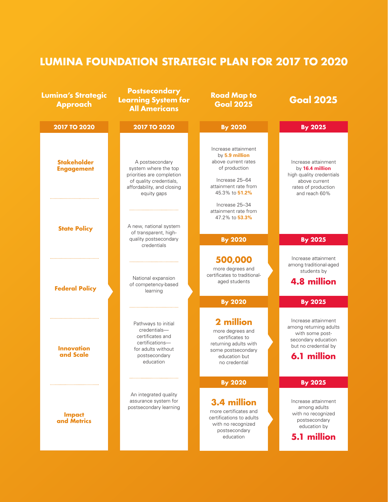# **LUMINA FOUNDATION STRATEGIC PLAN FOR 2017 TO 2020**

| <b>Lumina's Strategic</b><br><b>Approach</b> | <b>Postsecondary</b><br><b>Learning System for</b><br><b>All Americans</b>                                                                   | <b>Road Map to</b><br><b>Goal 2025</b>                                                                                                    | <b>Goal 2025</b>                                                                                                            |
|----------------------------------------------|----------------------------------------------------------------------------------------------------------------------------------------------|-------------------------------------------------------------------------------------------------------------------------------------------|-----------------------------------------------------------------------------------------------------------------------------|
| <b>2017 TO 2020</b>                          | <b>2017 TO 2020</b>                                                                                                                          | <b>By 2020</b>                                                                                                                            | <b>By 2025</b>                                                                                                              |
| <b>Stakeholder</b><br><b>Engagement</b>      | A postsecondary<br>system where the top<br>priorities are completion<br>of quality credentials,<br>affordability, and closing<br>equity gaps | Increase attainment<br>by 5.9 million<br>above current rates<br>of production<br>Increase 25-64<br>attainment rate from<br>45.3% to 51.2% | Increase attainment<br>by 16.4 million<br>high quality credentials<br>above current<br>rates of production<br>and reach 60% |
| <b>State Policy</b>                          | A new, national system<br>of transparent, high-                                                                                              | Increase 25-34<br>attainment rate from<br>47.2% to 53.3%                                                                                  |                                                                                                                             |
|                                              | quality postsecondary<br>credentials                                                                                                         | <b>By 2020</b><br>500,000                                                                                                                 | <b>By 2025</b><br>Increase attainment                                                                                       |
| <b>Federal Policy</b>                        | National expansion<br>of competency-based<br>learning                                                                                        | more degrees and<br>certificates to traditional-<br>aged students                                                                         | among traditional-aged<br>students by<br><b>4.8 million</b>                                                                 |
|                                              |                                                                                                                                              | <b>By 2020</b><br>2 million                                                                                                               | <b>By 2025</b><br>Increase attainment                                                                                       |
| <b>Innovation</b><br>and Scale               | Pathways to initial<br>credentials-<br>certificates and<br>certifications-<br>for adults without<br>postsecondary<br>education               | more degrees and<br>certificates to<br>returning adults with<br>some postsecondary<br>education but<br>no credential                      | among returning adults<br>with some post-<br>secondary education<br>but no credential by<br>6.1 million                     |
|                                              |                                                                                                                                              | <b>By 2020</b>                                                                                                                            | <b>By 2025</b>                                                                                                              |
| <b>Impact</b><br>and Metrics                 | An integrated quality<br>assurance system for<br>postsecondary learning                                                                      | 3.4 million<br>more certificates and<br>certifications to adults<br>with no recognized<br>postsecondary<br>education                      | Increase attainment<br>among adults<br>with no recognized<br>postsecondary<br>education by<br>5.1 million                   |